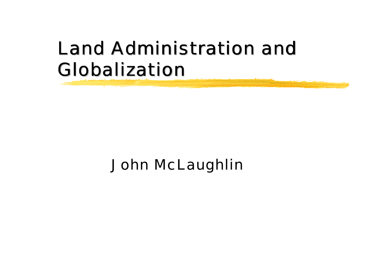## Land Administration and Globalization

#### John McLaughlin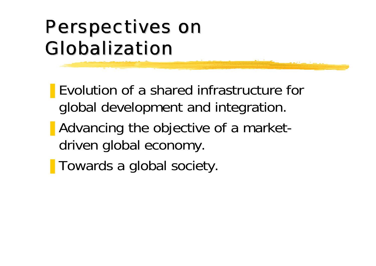# Perspectives on Globalization

- Evolution of a shared infrastructure for global development and integration.
- Advancing the objective of a marketdriven global economy.
- Towards a global society.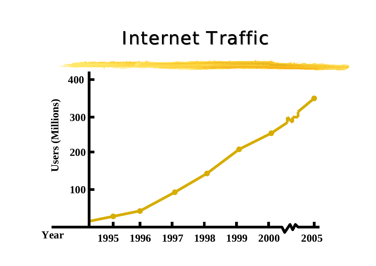#### Internet Traffic

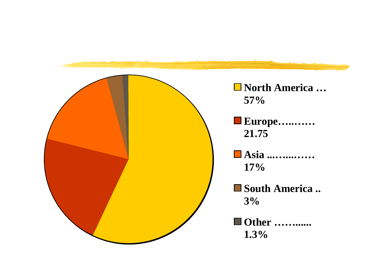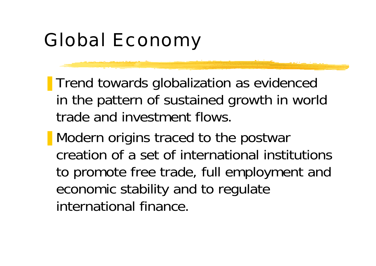## Global Economy

- **Trend towards globalization as evidenced** in the pattern of sustained growth in world trade and investment flows.
- Modern origins traced to the postwar creation of a set of international institutionsto promote free trade, full employment and economic stability and to regulate international finance.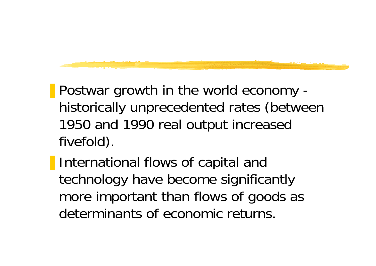- Postwar growth in the world economy historically unprecedented rates (between 1950 and 1990 real output increased fivefold).
- **I** International flows of capital and technology have become significantly more important than flows of goods as determinants of economic returns.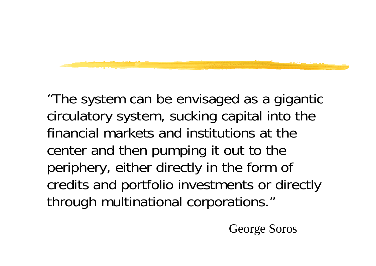"The system can be envisaged as a gigantic circulatory system, sucking capital into the financial markets and institutions at thecenter and then pumping it out to the periphery, either directly in the form of credits and portfolio investments or directly through multinational corporations."

George Soros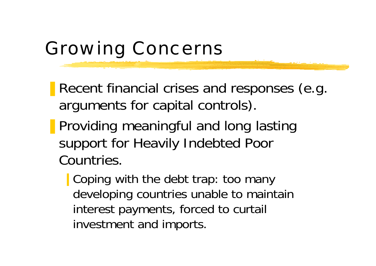## Growing Concerns

- Recent financial crises and responses (e.g. arguments for capital controls).
- Providing meaningful and long lasting support for Heavily Indebted Poor Countries.
	- Coping with the debt trap: too many developing countries unable to maintain interest payments, forced to curtail investment and imports.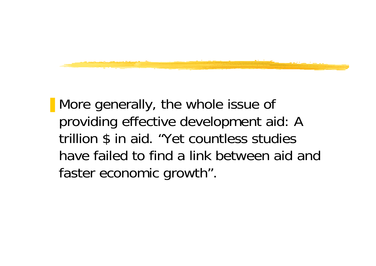

■ More generally, the whole issue of providing effective development aid: A trillion \$ in aid. "Yet countless studies have failed to find a link between aid andfaster economic growth".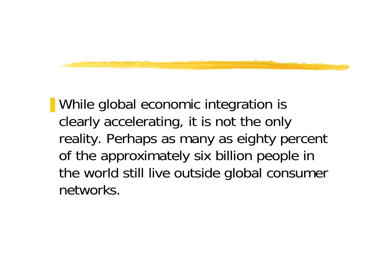

■ While global economic integration is clearly accelerating, it is not the only reality. Perhaps as many as eighty percent of the approximately six billion people in the world still live outside global consumer networks.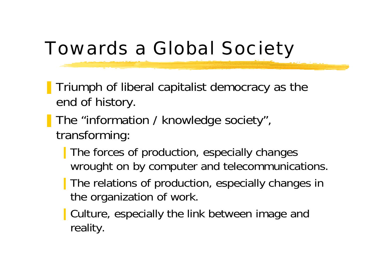## Towards a Global Society

- ❚ Triumph of liberal capitalist democracy as the end of history.
- **The "information / knowledge society",** transforming:
	- The forces of production, especially changes wrought on by computer and telecommunications.
	- The relations of production, especially changes in the organization of work.
	- Culture, especially the link between image and reality.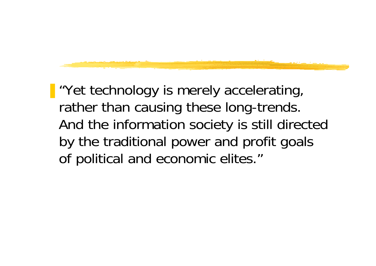■ "Yet technology is merely accelerating, rather than causing these long-trends. And the information society is still directed by the traditional power and profit goals of political and economic elites."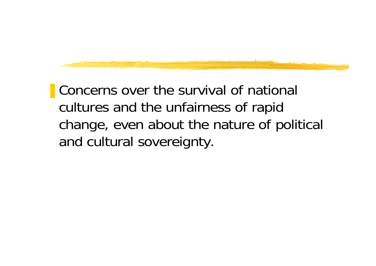■ Concerns over the survival of national cultures and the unfairness of rapid change, even about the nature of political and cultural sovereignty.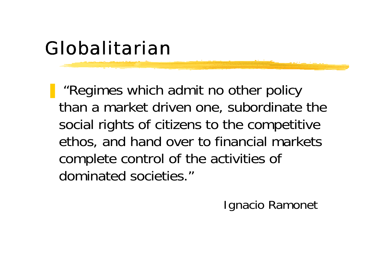## Globalitarian

■ "Regimes which admit no other policy than a market driven one, subordinate the social rights of citizens to the competitive ethos, and hand over to financial markets complete control of the activities of dominated societies."

Ignacio Ramonet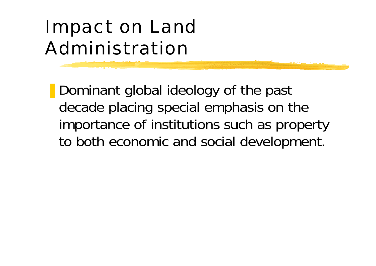# Impact on Land Administration

■ Dominant global ideology of the past decade placing special emphasis on the importance of institutions such as property to both economic and social development.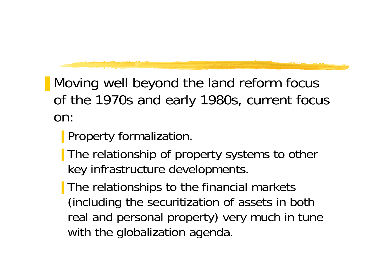- Moving well beyond the land reform focus of the 1970s and early 1980s, current focus on:
	- **Property formalization.**
	- The relationship of property systems to other key infrastructure developments.
	- The relationships to the financial markets (including the securitization of assets in both real and personal property) very much in tune with the globalization agenda.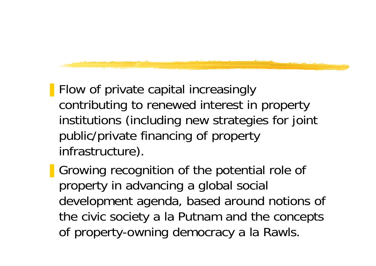- Flow of private capital increasingly contributing to renewed interest in property institutions (including new strategies for joint public/private financing of property infrastructure).
- Growing recognition of the potential role of property in advancing a global social development agenda, based around notions of the civic society a la Putnam and the concepts of property-owning democracy a la Rawls.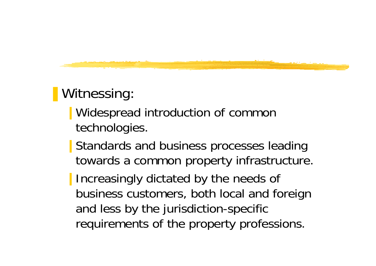#### ■ Witnessing:

- Widespread introduction of common technologies.
- **■** Standards and business processes leading towards a common property infrastructure.
- Increasingly dictated by the needs of business customers, both local and foreign and less by the jurisdiction-specific requirements of the property professions.